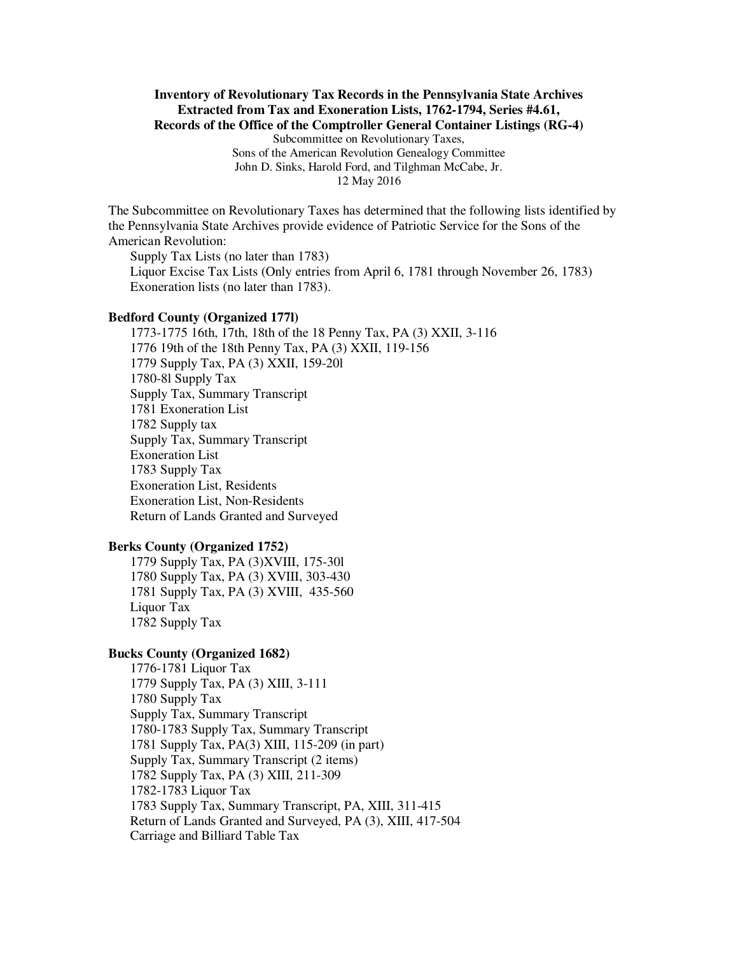# **Inventory of Revolutionary Tax Records in the Pennsylvania State Archives Extracted from Tax and Exoneration Lists, 1762-1794, Series #4.61, Records of the Office of the Comptroller General Container Listings (RG-4)**

Subcommittee on Revolutionary Taxes, Sons of the American Revolution Genealogy Committee John D. Sinks, Harold Ford, and Tilghman McCabe, Jr. 12 May 2016

The Subcommittee on Revolutionary Taxes has determined that the following lists identified by the Pennsylvania State Archives provide evidence of Patriotic Service for the Sons of the American Revolution:

Supply Tax Lists (no later than 1783) Liquor Excise Tax Lists (Only entries from April 6, 1781 through November 26, 1783) Exoneration lists (no later than 1783).

#### **Bedford County (Organized 177l)**

1773-1775 16th, 17th, 18th of the 18 Penny Tax, PA (3) XXII, 3-116 1776 19th of the 18th Penny Tax, PA (3) XXII, 119-156 1779 Supply Tax, PA (3) XXII, 159-20l 1780-8l Supply Tax Supply Tax, Summary Transcript 1781 Exoneration List 1782 Supply tax Supply Tax, Summary Transcript Exoneration List 1783 Supply Tax Exoneration List, Residents Exoneration List, Non-Residents Return of Lands Granted and Surveyed

# **Berks County (Organized 1752)**

1779 Supply Tax, PA (3)XVIII, 175-30l 1780 Supply Tax, PA (3) XVIII, 303-430 1781 Supply Tax, PA (3) XVIII, 435-560 Liquor Tax 1782 Supply Tax

#### **Bucks County (Organized 1682)**

1776-1781 Liquor Tax 1779 Supply Tax, PA (3) XIII, 3-111 1780 Supply Tax Supply Tax, Summary Transcript 1780-1783 Supply Tax, Summary Transcript 1781 Supply Tax, PA(3) XIII, 115-209 (in part) Supply Tax, Summary Transcript (2 items) 1782 Supply Tax, PA (3) XIII, 211-309 1782-1783 Liquor Tax 1783 Supply Tax, Summary Transcript, PA, XIII, 311-415 Return of Lands Granted and Surveyed, PA (3), XIII, 417-504 Carriage and Billiard Table Tax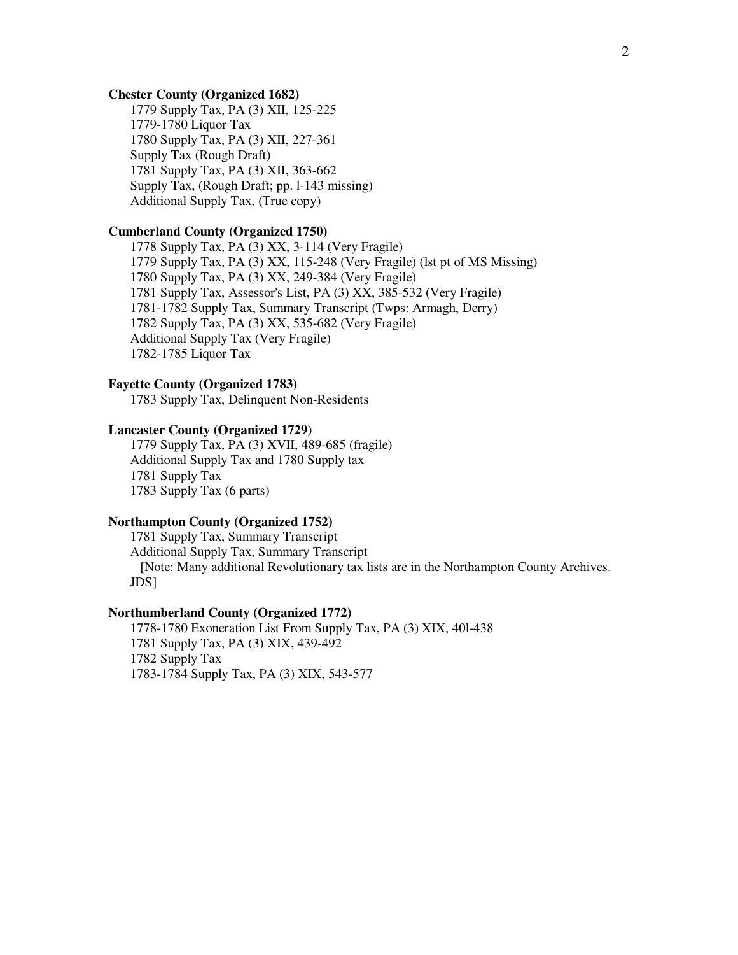### **Chester County (Organized 1682)**

1779 Supply Tax, PA (3) XII, 125-225 1779-1780 Liquor Tax 1780 Supply Tax, PA (3) XII, 227-361 Supply Tax (Rough Draft) 1781 Supply Tax, PA (3) XII, 363-662 Supply Tax, (Rough Draft; pp. l-143 missing) Additional Supply Tax, (True copy)

# **Cumberland County (Organized 1750)**

1778 Supply Tax, PA (3) XX, 3-114 (Very Fragile) 1779 Supply Tax, PA (3) XX, 115-248 (Very Fragile) (lst pt of MS Missing) 1780 Supply Tax, PA (3) XX, 249-384 (Very Fragile) 1781 Supply Tax, Assessor's List, PA (3) XX, 385-532 (Very Fragile) 1781-1782 Supply Tax, Summary Transcript (Twps: Armagh, Derry) 1782 Supply Tax, PA (3) XX, 535-682 (Very Fragile) Additional Supply Tax (Very Fragile) 1782-1785 Liquor Tax

# **Fayette County (Organized 1783)**

1783 Supply Tax, Delinquent Non-Residents

## **Lancaster County (Organized 1729)**

1779 Supply Tax, PA (3) XVII, 489-685 (fragile) Additional Supply Tax and 1780 Supply tax 1781 Supply Tax 1783 Supply Tax (6 parts)

## **Northampton County (Organized 1752)**

1781 Supply Tax, Summary Transcript Additional Supply Tax, Summary Transcript [Note: Many additional Revolutionary tax lists are in the Northampton County Archives. JDS]

## **Northumberland County (Organized 1772)**

1778-1780 Exoneration List From Supply Tax, PA (3) XIX, 40l-438 1781 Supply Tax, PA (3) XIX, 439-492 1782 Supply Tax 1783-1784 Supply Tax, PA (3) XIX, 543-577